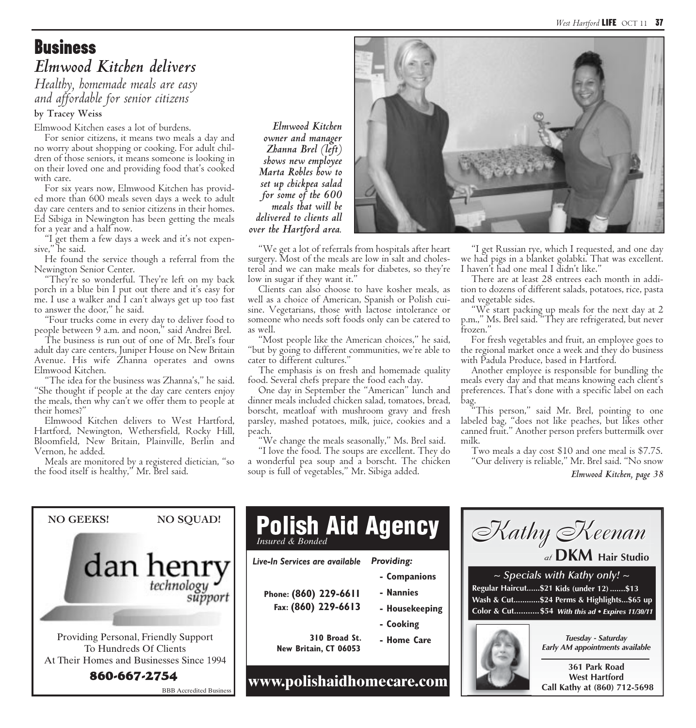*West Hartford* LIFE OCT 11 37

## **Business** *Elmwood Kitchen delivers*

*Healthy, homemade meals are easy and affordable for senior citizens*

**by Tracey Weiss**

Elmwood Kitchen eases a lot of burdens.

For senior citizens, it means two meals a day and no worry about shopping or cooking. For adult children of those seniors, it means someone is looking in on their loved one and providing food that's cooked with care.

For six years now, Elmwood Kitchen has provided more than 600 meals seven days a week to adult day care centers and to senior citizens in their homes. Ed Sibiga in Newington has been getting the meals for a year and a half now.

"I get them a few days a week and it's not expensive," he said.

He found the service though a referral from the Newington Senior Center.

"They're so wonderful. They're left on my back porch in a blue bin I put out there and it's easy for me. I use a walker and I can't always get up too fast to answer the door," he said.

"Four trucks come in every day to deliver food to people between 9 a.m. and noon," said Andrei Brel.

The business is run out of one of Mr. Brel's four adult day care centers, Juniper House on New Britain Avenue. His wife Zhanna operates and owns Elmwood Kitchen.

"The idea for the business was Zhanna's," he said. "She thought if people at the day care centers enjoy the meals, then why can't we offer them to people at their homes?"

Elmwood Kitchen delivers to West Hartford, Hartford, Newington, Wethersfield, Rocky Hill, Bloomfield, New Britain, Plainville, Berlin and Vernon, he added.

Meals are monitored by a registered dietician, "so the food itself is healthy," Mr. Brel said.

*owner and manager Zhanna Brel (left) shows new employee Marta Robles how to set up chickpea salad for some of the 600 meals that will be delivered to clients all over the Hartford area.* 

"We get a lot of referrals from hospitals after heart surgery. Most of the meals are low in salt and cholesterol and we can make meals for diabetes, so they're low in sugar if they want it."

Clients can also choose to have kosher meals, as well as a choice of American, Spanish or Polish cuisine. Vegetarians, those with lactose intolerance or someone who needs soft foods only can be catered to as well.

"Most people like the American choices," he said, "but by going to different communities, we're able to cater to different cultures."

The emphasis is on fresh and homemade quality food. Several chefs prepare the food each day.

One day in September the "American" lunch and dinner meals included chicken salad, tomatoes, bread, borscht, meatloaf with mushroom gravy and fresh parsley, mashed potatoes, milk, juice, cookies and a peach.

"We change the meals seasonally," Ms. Brel said.

"I love the food. The soups are excellent. They do a wonderful pea soup and a borscht. The chicken soup is full of vegetables," Mr. Sibiga added.



There are at least 28 entrees each month in addition to dozens of different salads, potatoes, rice, pasta and vegetable sides.

"We start packing up meals for the next day at 2 p.m.," Ms. Brel said. "They are refrigerated, but never frozen."

For fresh vegetables and fruit, an employee goes to the regional market once a week and they do business with Padula Produce, based in Hartford.

Another employee is responsible for bundling the meals every day and that means knowing each client's preferences. That's done with a specific label on each bag.

"This person," said Mr. Brel, pointing to one labeled bag, "does not like peaches, but likes other canned fruit." Another person prefers buttermilk over milk.

Two meals a day cost \$10 and one meal is \$7.75. "Our delivery is reliable," Mr. Brel said. "No snow

*Elmwood Kitchen, page 38*



*Elmwood Kitchen*